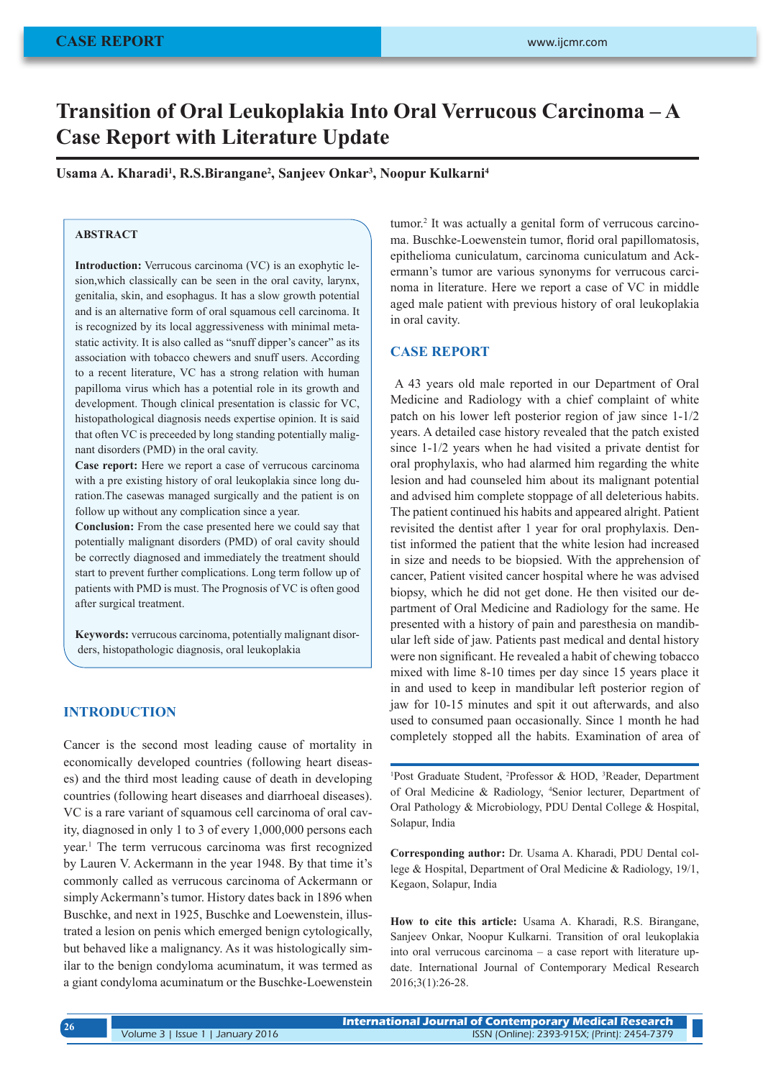# **Transition of Oral Leukoplakia Into Oral Verrucous Carcinoma – A Case Report with Literature Update**

**Usama A. Kharadi1 , R.S.Birangane2 , Sanjeev Onkar3 , Noopur Kulkarni4**

## **ABSTRACT**

**Introduction:** Verrucous carcinoma (VC) is an exophytic lesion,which classically can be seen in the oral cavity, larynx, genitalia, skin, and esophagus. It has a slow growth potential and is an alternative form of oral squamous cell carcinoma. It is recognized by its local aggressiveness with minimal metastatic activity. It is also called as "snuff dipper's cancer" as its association with tobacco chewers and snuff users. According to a recent literature, VC has a strong relation with human papilloma virus which has a potential role in its growth and development. Though clinical presentation is classic for VC, histopathological diagnosis needs expertise opinion. It is said that often VC is preceeded by long standing potentially malignant disorders (PMD) in the oral cavity.

**Case report:** Here we report a case of verrucous carcinoma with a pre existing history of oral leukoplakia since long duration.The casewas managed surgically and the patient is on follow up without any complication since a year.

**Conclusion:** From the case presented here we could say that potentially malignant disorders (PMD) of oral cavity should be correctly diagnosed and immediately the treatment should start to prevent further complications. Long term follow up of patients with PMD is must. The Prognosis of VC is often good after surgical treatment.

**Keywords:** verrucous carcinoma, potentially malignant disorders, histopathologic diagnosis, oral leukoplakia

### **INTRODUCTION**

Cancer is the second most leading cause of mortality in economically developed countries (following heart diseases) and the third most leading cause of death in developing countries (following heart diseases and diarrhoeal diseases). VC is a rare variant of squamous cell carcinoma of oral cavity, diagnosed in only 1 to 3 of every 1,000,000 persons each year.1 The term verrucous carcinoma was first recognized by Lauren V. Ackermann in the year 1948. By that time it's commonly called as verrucous carcinoma of Ackermann or simply Ackermann's tumor. History dates back in 1896 when Buschke, and next in 1925, Buschke and Loewenstein, illustrated a lesion on penis which emerged benign cytologically, but behaved like a malignancy. As it was histologically similar to the benign condyloma acuminatum, it was termed as a giant condyloma acuminatum or the Buschke-Loewenstein

tumor.<sup>2</sup> It was actually a genital form of verrucous carcinoma. Buschke-Loewenstein tumor, florid oral papillomatosis, epithelioma cuniculatum, carcinoma cuniculatum and Ackermann's tumor are various synonyms for verrucous carcinoma in literature. Here we report a case of VC in middle aged male patient with previous history of oral leukoplakia in oral cavity.

### **CASE REPORT**

 A 43 years old male reported in our Department of Oral Medicine and Radiology with a chief complaint of white patch on his lower left posterior region of jaw since 1-1/2 years. A detailed case history revealed that the patch existed since 1-1/2 years when he had visited a private dentist for oral prophylaxis, who had alarmed him regarding the white lesion and had counseled him about its malignant potential and advised him complete stoppage of all deleterious habits. The patient continued his habits and appeared alright. Patient revisited the dentist after 1 year for oral prophylaxis. Dentist informed the patient that the white lesion had increased in size and needs to be biopsied. With the apprehension of cancer, Patient visited cancer hospital where he was advised biopsy, which he did not get done. He then visited our department of Oral Medicine and Radiology for the same. He presented with a history of pain and paresthesia on mandibular left side of jaw. Patients past medical and dental history were non significant. He revealed a habit of chewing tobacco mixed with lime 8-10 times per day since 15 years place it in and used to keep in mandibular left posterior region of jaw for 10-15 minutes and spit it out afterwards, and also used to consumed paan occasionally. Since 1 month he had completely stopped all the habits. Examination of area of

<sup>1</sup>Post Graduate Student, <sup>2</sup>Professor & HOD, <sup>3</sup>Reader, Department of Oral Medicine & Radiology, 4 Senior lecturer, Department of Oral Pathology & Microbiology, PDU Dental College & Hospital, Solapur, India

**Corresponding author:** Dr. Usama A. Kharadi, PDU Dental college & Hospital, Department of Oral Medicine & Radiology, 19/1, Kegaon, Solapur, India

**How to cite this article:** Usama A. Kharadi, R.S. Birangane, Sanjeev Onkar, Noopur Kulkarni. Transition of oral leukoplakia into oral verrucous carcinoma – a case report with literature update. International Journal of Contemporary Medical Research 2016;3(1):26-28.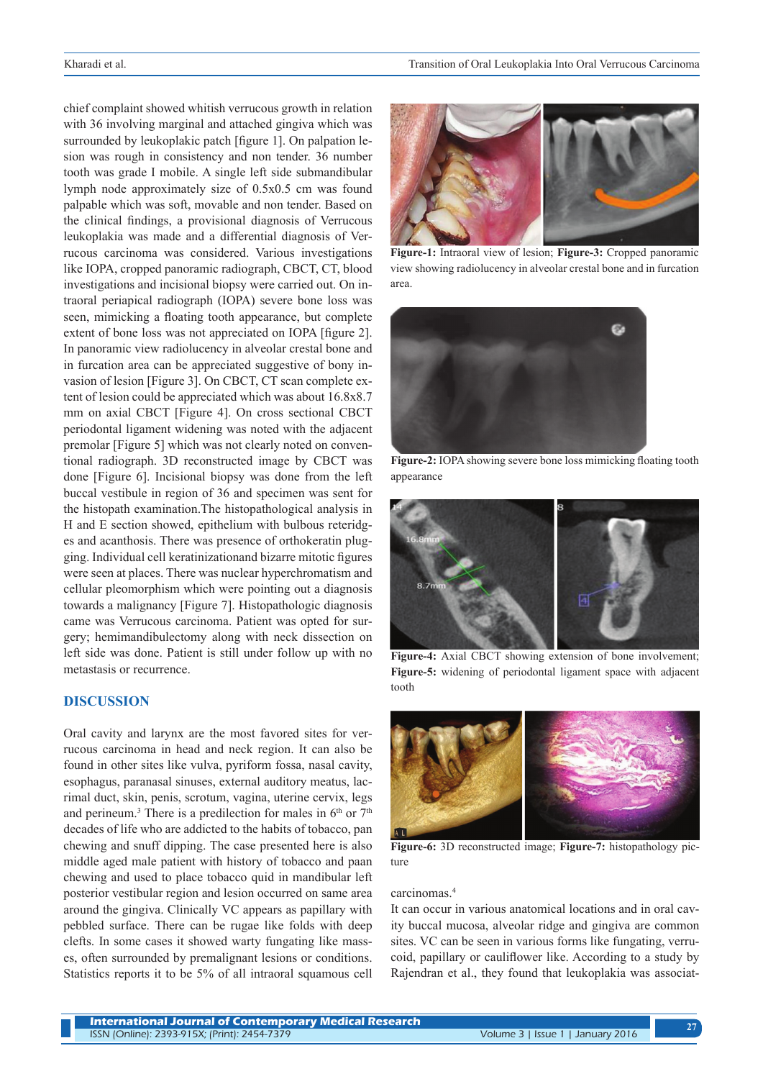chief complaint showed whitish verrucous growth in relation with 36 involving marginal and attached gingiva which was surrounded by leukoplakic patch [figure 1]. On palpation lesion was rough in consistency and non tender. 36 number tooth was grade I mobile. A single left side submandibular lymph node approximately size of 0.5x0.5 cm was found palpable which was soft, movable and non tender. Based on the clinical findings, a provisional diagnosis of Verrucous leukoplakia was made and a differential diagnosis of Verrucous carcinoma was considered. Various investigations like IOPA, cropped panoramic radiograph, CBCT, CT, blood investigations and incisional biopsy were carried out. On intraoral periapical radiograph (IOPA) severe bone loss was seen, mimicking a floating tooth appearance, but complete extent of bone loss was not appreciated on IOPA [figure 2]. In panoramic view radiolucency in alveolar crestal bone and in furcation area can be appreciated suggestive of bony invasion of lesion [Figure 3]. On CBCT, CT scan complete extent of lesion could be appreciated which was about 16.8x8.7 mm on axial CBCT [Figure 4]. On cross sectional CBCT periodontal ligament widening was noted with the adjacent premolar [Figure 5] which was not clearly noted on conventional radiograph. 3D reconstructed image by CBCT was done [Figure 6]. Incisional biopsy was done from the left buccal vestibule in region of 36 and specimen was sent for the histopath examination.The histopathological analysis in H and E section showed, epithelium with bulbous reteridges and acanthosis. There was presence of orthokeratin plugging. Individual cell keratinizationand bizarre mitotic figures were seen at places. There was nuclear hyperchromatism and cellular pleomorphism which were pointing out a diagnosis towards a malignancy [Figure 7]. Histopathologic diagnosis came was Verrucous carcinoma. Patient was opted for surgery; hemimandibulectomy along with neck dissection on left side was done. Patient is still under follow up with no metastasis or recurrence.

### **DISCUSSION**

Oral cavity and larynx are the most favored sites for verrucous carcinoma in head and neck region. It can also be found in other sites like vulva, pyriform fossa, nasal cavity, esophagus, paranasal sinuses, external auditory meatus, lacrimal duct, skin, penis, scrotum, vagina, uterine cervix, legs and perineum.<sup>3</sup> There is a predilection for males in  $6<sup>th</sup>$  or  $7<sup>th</sup>$ decades of life who are addicted to the habits of tobacco, pan chewing and snuff dipping. The case presented here is also middle aged male patient with history of tobacco and paan chewing and used to place tobacco quid in mandibular left posterior vestibular region and lesion occurred on same area around the gingiva. Clinically VC appears as papillary with pebbled surface. There can be rugae like folds with deep clefts. In some cases it showed warty fungating like masses, often surrounded by premalignant lesions or conditions. Statistics reports it to be 5% of all intraoral squamous cell



**Figure-1:** Intraoral view of lesion; **Figure-3:** Cropped panoramic view showing radiolucency in alveolar crestal bone and in furcation area.



**Figure-2:** IOPA showing severe bone loss mimicking floating tooth appearance



**Figure-4:** Axial CBCT showing extension of bone involvement; **Figure-5:** widening of periodontal ligament space with adjacent tooth



**Figure-6:** 3D reconstructed image; **Figure-7:** histopathology picture

### carcinomas.4

It can occur in various anatomical locations and in oral cavity buccal mucosa, alveolar ridge and gingiva are common sites. VC can be seen in various forms like fungating, verrucoid, papillary or cauliflower like. According to a study by Rajendran et al., they found that leukoplakia was associat-